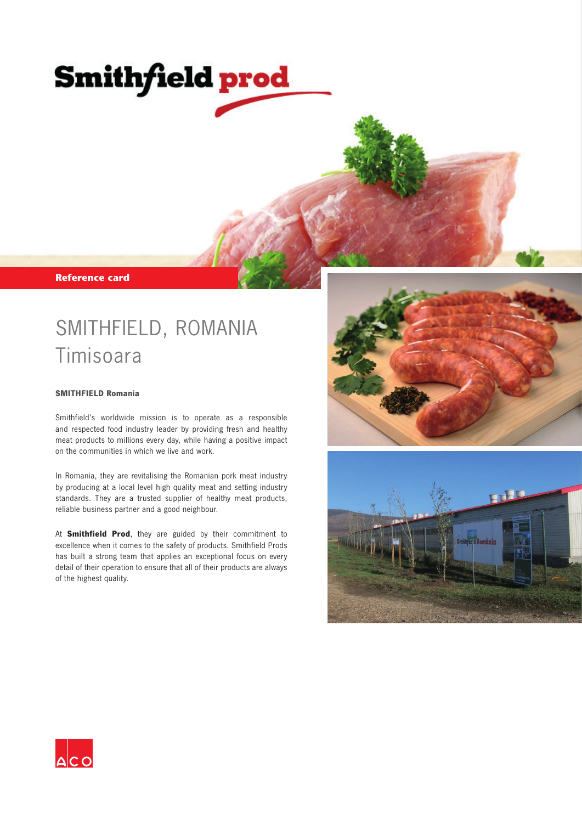# **Smithfield prod**

**Reference card** 

## SMITHFIELD, ROMANIA Timisoara

#### **SMITHFIELD Romania**

Smithfield's worldwide mission is to operate as a responsible and respected food industry leader by providing fresh and healthy meat products to millions every day, while having a positive impact on the communities in which we live and work.

In Romania, they are revitalising the Romanian pork meat industry by producing at a local level high quality meat and setting industry standards. They are a trusted supplier of healthy meat products, reliable business partner and a good neighbour.

At **Smithfield Prod**, they are guided by their commitment to excellence when it comes to the safety of products. Smithfield Prods has built a strong team that applies an exceptional focus on every detail of their operation to ensure that all of their products are always of the highest quality.